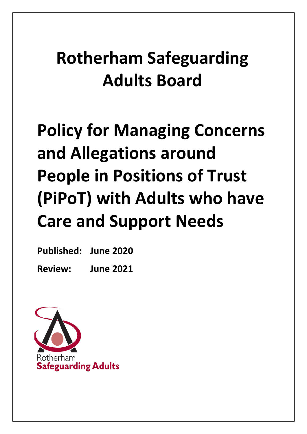# **Rotherham Safeguarding Adults Board**

# **Policy for Managing Concerns and Allegations around People in Positions of Trust (PiPoT) with Adults who have Care and Support Needs**

**Published: June 2020**

**Review: June 2021**

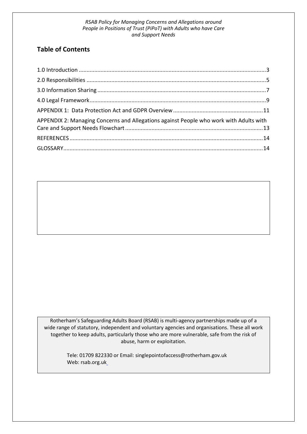# **Table of Contents**

| APPENDIX 2: Managing Concerns and Allegations against People who work with Adults with |  |
|----------------------------------------------------------------------------------------|--|
|                                                                                        |  |
|                                                                                        |  |

Rotherham's Safeguarding Adults Board (RSAB) is multi-agency partnerships made up of a wide range of statutory, independent and voluntary agencies and organisations. These all work together to keep adults, particularly those who are more vulnerable, safe from the risk of abuse, harm or exploitation.

> Tele: 01709 822330 or Email: singlepointofaccess@rotherham.gov.uk Web: [rsab.org.uk](http://www.manchestersafeguardingboards.co.uk/)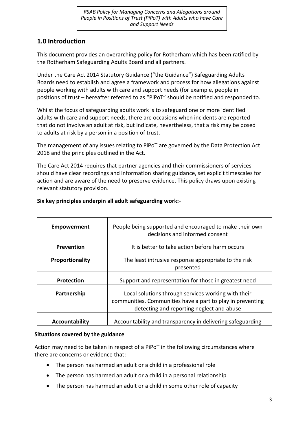## <span id="page-2-0"></span>**1.0 Introduction**

This document provides an overarching policy for Rotherham which has been ratified by the Rotherham Safeguarding Adults Board and all partners.

Under the Care Act 2014 Statutory Guidance ("the Guidance") Safeguarding Adults Boards need to establish and agree a framework and process for how allegations against people working with adults with care and support needs (for example, people in positions of trust – hereafter referred to as "PiPoT" should be notified and responded to.

Whilst the focus of safeguarding adults work is to safeguard one or more identified adults with care and support needs, there are occasions when incidents are reported that do not involve an adult at risk, but indicate, nevertheless, that a risk may be posed to adults at risk by a person in a position of trust.

The management of any issues relating to PiPoT are governed by the Data Protection Act 2018 and the principles outlined in the Act.

The Care Act 2014 requires that partner agencies and their commissioners of services should have clear recordings and information sharing guidance, set explicit timescales for action and are aware of the need to preserve evidence. This policy draws upon existing relevant statutory provision.

| <b>Empowerment</b>    | People being supported and encouraged to make their own<br>decisions and informed consent                                                                      |
|-----------------------|----------------------------------------------------------------------------------------------------------------------------------------------------------------|
| Prevention            | It is better to take action before harm occurs                                                                                                                 |
| Proportionality       | The least intrusive response appropriate to the risk<br>presented                                                                                              |
| <b>Protection</b>     | Support and representation for those in greatest need                                                                                                          |
| Partnership           | Local solutions through services working with their<br>communities. Communities have a part to play in preventing<br>detecting and reporting neglect and abuse |
| <b>Accountability</b> | Accountability and transparency in delivering safeguarding                                                                                                     |

## **Six key principles underpin all adult safeguarding work:**-

#### **Situations covered by the guidance**

Action may need to be taken in respect of a PiPoT in the following circumstances where there are concerns or evidence that:

- The person has harmed an adult or a child in a professional role
- The person has harmed an adult or a child in a personal relationship
- The person has harmed an adult or a child in some other role of capacity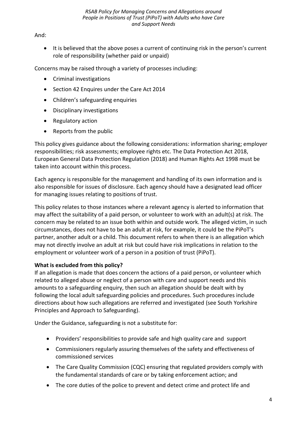## And:

• It is believed that the above poses a current of continuing risk in the person's current role of responsibility (whether paid or unpaid)

Concerns may be raised through a variety of processes including:

- Criminal investigations
- Section 42 Enquires under the Care Act 2014
- Children's safeguarding enquiries
- Disciplinary investigations
- Regulatory action
- Reports from the public

This policy gives guidance about the following considerations: information sharing; employer responsibilities; risk assessments; employee rights etc. The Data Protection Act 2018, European General Data Protection Regulation (2018) and Human Rights Act 1998 must be taken into account within this process.

Each agency is responsible for the management and handling of its own information and is also responsible for issues of disclosure. Each agency should have a designated lead officer for managing issues relating to positions of trust.

This policy relates to those instances where a relevant agency is alerted to information that may affect the suitability of a paid person, or volunteer to work with an adult(s) at risk. The concern may be related to an issue both within and outside work. The alleged victim, in such circumstances, does not have to be an adult at risk, for example, it could be the PiPoT's partner, another adult or a child. This document refers to when there is an allegation which may not directly involve an adult at risk but could have risk implications in relation to the employment or volunteer work of a person in a position of trust (PiPoT).

#### **What is excluded from this policy?**

If an allegation is made that does concern the actions of a paid person, or volunteer which related to alleged abuse or neglect of a person with care and support needs and this amounts to a safeguarding enquiry, then such an allegation should be dealt with by following the local adult safeguarding policies and procedures. Such procedures include directions about how such allegations are referred and investigated (see South Yorkshire Principles and Approach to Safeguarding).

Under the Guidance, safeguarding is not a substitute for:

- Providers' responsibilities to provide safe and high quality care and support
- Commissioners regularly assuring themselves of the safety and effectiveness of commissioned services
- The Care Quality Commission (CQC) ensuring that regulated providers comply with the fundamental standards of care or by taking enforcement action; and
- The core duties of the police to prevent and detect crime and protect life and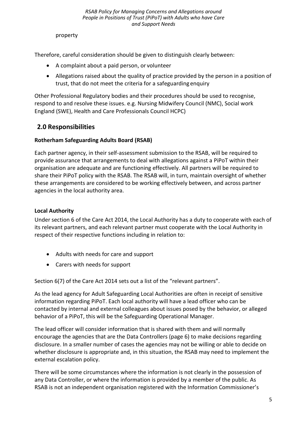property

Therefore, careful consideration should be given to distinguish clearly between:

- A complaint about a paid person, or volunteer
- Allegations raised about the quality of practice provided by the person in a position of trust, that do not meet the criteria for a safeguarding enquiry

Other Professional Regulatory bodies and their procedures should be used to recognise, respond to and resolve these issues. e.g. Nursing Midwifery Council (NMC), Social work England (SWE), Health and Care Professionals Council HCPC)

## <span id="page-4-0"></span>**2.0 Responsibilities**

## **Rotherham Safeguarding Adults Board (RSAB)**

Each partner agency, in their self-assessment submission to the RSAB, will be required to provide assurance that arrangements to deal with allegations against a PiPoT within their organisation are adequate and are functioning effectively. All partners will be required to share their PiPoT policy with the RSAB. The RSAB will, in turn, maintain oversight of whether these arrangements are considered to be working effectively between, and across partner agencies in the local authority area.

## **Local Authority**

Under section 6 of the Care Act 2014, the Local Authority has a duty to cooperate with each of its relevant partners, and each relevant partner must cooperate with the Local Authority in respect of their respective functions including in relation to:

- Adults with needs for care and support
- Carers with needs for support

Section 6(7) of the Care Act 2014 sets out a list of the "relevant partners".

As the lead agency for Adult Safeguarding Local Authorities are often in receipt of sensitive information regarding PiPoT. Each local authority will have a lead officer who can be contacted by internal and external colleagues about issues posed by the behavior, or alleged behavior of a PiPoT, this will be the Safeguarding Operational Manager.

The lead officer will consider information that is shared with them and will normally encourage the agencies that are the Data Controllers (page 6) to make decisions regarding disclosure. In a smaller number of cases the agencies may not be willing or able to decide on whether disclosure is appropriate and, in this situation, the RSAB may need to implement the external escalation policy.

There will be some circumstances where the information is not clearly in the possession of any Data Controller, or where the information is provided by a member of the public. As RSAB is not an independent organisation registered with the Information Commissioner's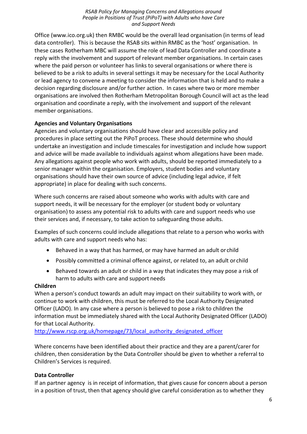Office (www.ico.org.uk) then RMBC would be the overall lead organisation (in terms of lead data controller). This is because the RSAB sits within RMBC as the 'host' organisation. In these cases Rotherham MBC will assume the role of lead Data Controller and coordinate a reply with the involvement and support of relevant member organisations. In certain cases where the paid person or volunteer has links to several organisations or where there is believed to be a risk to adults in several settings it may be necessary for the Local Authority or lead agency to convene a meeting to consider the information that is held and to make a decision regarding disclosure and/or further action. In cases where two or more member organisations are involved then Rotherham Metropolitan Borough Council will act as the lead organisation and coordinate a reply, with the involvement and support of the relevant member organisations.

## **Agencies and Voluntary Organisations**

Agencies and voluntary organisations should have clear and accessible policy and procedures in place setting out the PiPoT process. These should determine who should undertake an investigation and include timescales for investigation and include how support and advice will be made available to individuals against whom allegations have been made. Any allegations against people who work with adults, should be reported immediately to a senior manager within the organisation. Employers, student bodies and voluntary organisations should have their own source of advice (including legal advice, if felt appropriate) in place for dealing with such concerns.

Where such concerns are raised about someone who works with adults with care and support needs, it will be necessary for the employer (or student body or voluntary organisation) to assess any potential risk to adults with care and support needs who use their services and, if necessary, to take action to safeguarding those adults.

Examples of such concerns could include allegations that relate to a person who works with adults with care and support needs who has:

- Behaved in a way that has harmed, or may have harmed an adult or child
- Possibly committed a criminal offence against, or related to, an adult or child
- Behaved towards an adult or child in a way that indicates they may pose a risk of harm to adults with care and support needs

#### **Children**

When a person's conduct towards an adult may impact on their suitability to work with, or continue to work with children, this must be referred to the Local Authority Designated Officer (LADO). In any case where a person is believed to pose a risk to children the information must be immediately shared with the Local Authority Designated Officer (LADO) for that Local Authority.

[http://www.rscp.org.uk/homepage/73/local\\_authority\\_designated\\_officer](http://www.rscp.org.uk/homepage/73/local_authority_designated_officer)

Where concerns have been identified about their practice and they are a parent/carer for children, then consideration by the Data Controller should be given to whether a referral to Children's Services is required.

## **Data Controller**

If an partner agency is in receipt of information, that gives cause for concern about a person in a position of trust, then that agency should give careful consideration as to whether they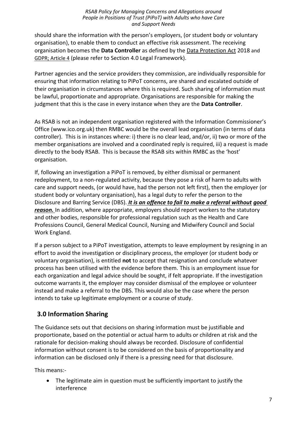should share the information with the person's employers, (or student body or voluntary organisation), to enable them to conduct an effective risk assessment. The receiving organisation becomes the **Data Controller** as defined by the [Data Protection Act](http://www.legislation.gov.uk/ukpga/1998/29/contents) 2018 and [GDPR; Article 4](https://ico.org.uk/for-organisations/guide-to-the-general-data-protection-regulation-gdpr/) (please refer to Section 4.0 Legal Framework).

Partner agencies and the service providers they commission, are individually responsible for ensuring that information relating to PiPoT concerns, are shared and escalated outside of their organisation in circumstances where this is required. Such sharing of information must be lawful, proportionate and appropriate. Organisations are responsible for making the judgment that this is the case in every instance when they are the **Data Controller**.

As RSAB is not an independent organisation registered with the Information Commissioner's Office (www.ico.org.uk) then RMBC would be the overall lead organisation (in terms of data controller). This is in instances where: i) there is no clear lead, and/or, ii) two or more of the member organisations are involved and a coordinated reply is required, iii) a request is made directly to the body RSAB. This is because the RSAB sits within RMBC as the 'host' organisation.

If, following an investigation a PiPoT is removed, by either dismissal or permanent redeployment, to a non-regulated activity, because they pose a risk of harm to adults with care and support needs, (or would have, had the person not left first), then the employer (or student body or voluntary organisation), has a legal duty to refer the person to the Disclosure and Barring Service (DBS). *It is an offence to fail to make a referral without good reason.* In addition, where appropriate, employers should report workers to the statutory and other bodies, responsible for professional regulation such as the Health and Care Professions Council, General Medical Council, Nursing and Midwifery Council and Social Work England.

If a person subject to a PiPoT investigation, attempts to leave employment by resigning in an effort to avoid the investigation or disciplinary process, the employer (or student body or voluntary organisation), is entitled **not** to accept that resignation and conclude whatever process has been utilised with the evidence before them. This is an employment issue for each organization and legal advice should be sought, if felt appropriate. If the investigation outcome warrants it, the employer may consider dismissal of the employee or volunteer instead and make a referral to the DBS. This would also be the case where the person intends to take up legitimate employment or a course of study.

# <span id="page-6-0"></span>**3.0 Information Sharing**

The Guidance sets out that decisions on sharing information must be justifiable and proportionate, based on the potential or actual harm to adults or children at risk and the rationale for decision-making should always be recorded. Disclosure of confidential information without consent is to be considered on the basis of proportionality and information can be disclosed only if there is a pressing need for that disclosure.

This means:-

• The legitimate aim in question must be sufficiently important to justify the interference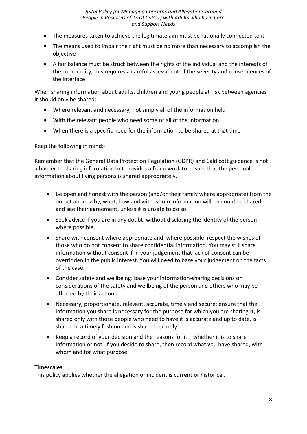- The measures taken to achieve the legitimate aim must be rationally connected to it
- The means used to impair the right must be no more than necessary to accomplish the objective
- A fair balance must be struck between the rights of the individual and the interests of the community, this requires a careful assessment of the severity and consequences of the interface

When sharing information about adults, children and young people at risk between agencies it should only be shared:

- Where relevant and necessary, not simply all of the information held
- With the relevant people who need some or all of the information
- When there is a specific need for the information to be shared at that time

Keep the following in mind:-

Remember that the General Data Protection Regulation (GDPR) and Caldicott guidance is not a barrier to sharing information but provides a framework to ensure that the personal information about living persons is shared appropriately.

- Be open and honest with the person (and/or their family where appropriate) from the outset about why, what, how and with whom information will, or could be shared and see their agreement, unless it is unsafe to do so.
- Seek advice if you are in any doubt, without disclosing the identity of the person where possible.
- Share with consent where appropriate and, where possible, respect the wishes of those who do not consent to share confidential information. You may still share information without consent if in your judgement that lack of consent can be overridden in the public interest. You will need to base your judgement on the facts of the case.
- Consider safety and wellbeing: base your information-sharing decisions on considerations of the safety and wellbeing of the person and others who may be affected by their actions.
- Necessary, proportionate, relevant, accurate, timely and secure: ensure that the information you share is necessary for the purpose for which you are sharing it, is shared only with those people who need to have it is accurate and up to date, is shared in a timely fashion and is shared securely.
- Keep a record of your decision and the reasons for it whether it is to share information or not. If you decide to share, then record what you have shared, with whom and for what purpose.

#### **Timescales**

This policy applies whether the allegation or incident is current or historical.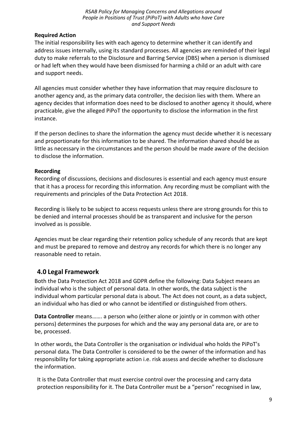#### **Required Action**

The initial responsibility lies with each agency to determine whether it can identify and address issues internally, using its standard processes. All agencies are reminded of their legal duty to make referrals to the Disclosure and Barring Service (DBS) when a person is dismissed or had left when they would have been dismissed for harming a child or an adult with care and support needs.

All agencies must consider whether they have information that may require disclosure to another agency and, as the primary data controller, the decision lies with them. Where an agency decides that information does need to be disclosed to another agency it should, where practicable, give the alleged PiPoT the opportunity to disclose the information in the first instance.

If the person declines to share the information the agency must decide whether it is necessary and proportionate for this information to be shared. The information shared should be as little as necessary in the circumstances and the person should be made aware of the decision to disclose the information.

#### **Recording**

Recording of discussions, decisions and disclosures is essential and each agency must ensure that it has a process for recording this information. Any recording must be compliant with the requirements and principles of the Data Protection Act 2018.

Recording is likely to be subject to access requests unless there are strong grounds for this to be denied and internal processes should be as transparent and inclusive for the person involved as is possible.

Agencies must be clear regarding their retention policy schedule of any records that are kept and must be prepared to remove and destroy any records for which there is no longer any reasonable need to retain.

## **4.0 Legal Framework**

Both the Data Protection Act 2018 and GDPR define the following: Data Subject means an individual who is the subject of personal data. In other words, the data subject is the individual whom particular personal data is about. The Act does not count, as a data subject, an individual who has died or who cannot be identified or distinguished from others.

**Data Controller** means……. a person who (either alone or jointly or in common with other persons) determines the purposes for which and the way any personal data are, or are to be, processed.

In other words, the Data Controller is the organisation or individual who holds the PiPoT's personal data. The Data Controller is considered to be the owner of the information and has responsibility for taking appropriate action i.e. risk assess and decide whether to disclosure the information.

It is the Data Controller that must exercise control over the processing and carry data protection responsibility for it. The Data Controller must be a "person" recognised in law,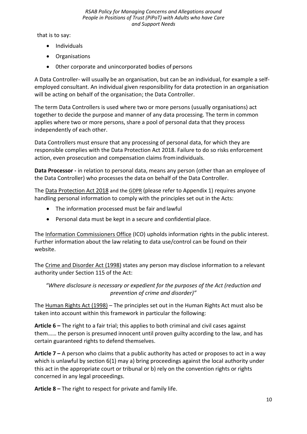that is to say:

- Individuals
- Organisations
- 0ther corporate and unincorporated bodies of persons

A Data Controller- will usually be an organisation, but can be an individual, for example a selfemployed consultant. An individual given responsibility for data protection in an organisation will be acting on behalf of the organisation; the Data Controller.

The term Data Controllers is used where two or more persons (usually organisations) act together to decide the purpose and manner of any data processing. The term in common applies where two or more persons, share a pool of personal data that they process independently of each other.

Data Controllers must ensure that any processing of personal data, for which they are responsible complies with the Data Protection Act 2018. Failure to do so risks enforcement action, even prosecution and compensation claims fromindividuals.

**Data Processor -** in relation to personal data, means any person (other than an employee of the Data Controller) who processes the data on behalf of the Data Controller.

The **Data Protection Act 2018** and the **GDPR** (please refer to Appendix 1) requires anyone handling personal information to comply with the principles set out in the Acts:

- The information processed must be fair and lawful
- Personal data must be kept in a secure and confidential place.

The Information [Commissioners Office](https://ico.org.uk/) (ICO) upholds information rights in the public interest. Further information about the law relating to data use/control can be found on their website.

The [Crime and Disorder Act \(1998\)](http://www.legislation.gov.uk/ukpga/1998/37/contents) states any person may disclose information to a relevant authority under Section 115 of the Act:

*"Where disclosure is necessary or expedient for the purposes of the Act (reduction and prevention of crime and disorder)"*

The [Human Rights Act \(1998\)](http://www.legislation.gov.uk/ukpga/1998/42/contents) – The principles set out in the Human Rights Act must also be taken into account within this framework in particular the following:

**Article 6 –** The right to a fair trial; this applies to both criminal and civil cases against them…… the person is presumed innocent until proven guilty according to the law, and has certain guaranteed rights to defend themselves.

**Article 7 –** A person who claims that a public authority has acted or proposes to act in a way which is unlawful by section 6(1) may a) bring proceedings against the local authority under this act in the appropriate court or tribunal or b) rely on the convention rights or rights concerned in any legal proceedings.

**Article 8 –** The right to respect for private and family life.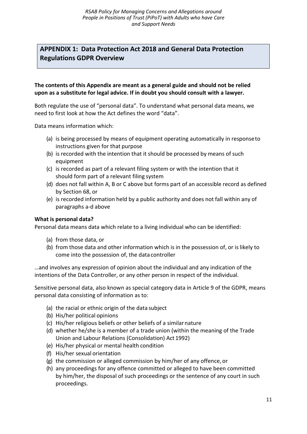# <span id="page-10-0"></span>**APPENDIX 1: Data Protection Act 2018 and General Data Protection Regulations GDPR Overview**

#### **The contents of this Appendix are meant as a general guide and should not be relied upon as a substitute for legal advice. If in doubt you should consult with a lawyer.**

Both regulate the use of "personal data". To understand what personal data means, we need to first look at how the Act defines the word "data".

Data means information which:

- (a) is being processed by means of equipment operating automatically in responseto instructions given for that purpose
- (b) is recorded with the intention that it should be processed by means of such equipment
- (c) is recorded as part of a relevant filing system or with the intention that it should form part of a relevant filing system
- (d) does not fall within A, B or C above but forms part of an accessible record as defined by Section 68, or
- (e) is recorded information held by a public authority and does not fall within any of paragraphs a-d above

#### **What is personal data?**

Personal data means data which relate to a living individual who can be identified:

- (a) from those data, or
- (b) from those data and other information which is in the possession of, or islikely to come into the possession of, the data controller

…and involves any expression of opinion about the individual and any indication of the intentions of the Data Controller, or any other person in respect of the individual.

Sensitive personal data, also known as special category data in Article 9 of the GDPR, means personal data consisting of information as to:

- (a) the racial or ethnic origin of the data subject
- (b) His/her political opinions
- (c) His/her religious beliefs or other beliefs of a similarnature
- (d) whether he/she is a member of a trade union (within the meaning of the Trade Union and Labour Relations (Consolidation) Act 1992)
- (e) His/her physical or mental health condition
- (f) His/her sexual orientation
- (g) the commission or alleged commission by him/her of any offence, or
- (h) any proceedings for any offence committed or alleged to have been committed by him/her, the disposal of such proceedings or the sentence of any court in such proceedings.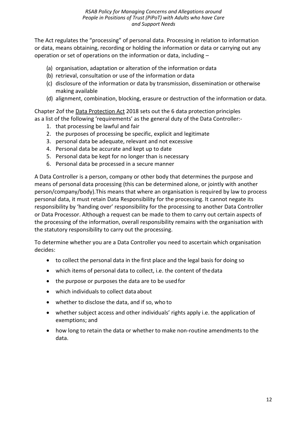The Act regulates the "processing" of personal data. Processing in relation to information or data, means obtaining, recording or holding the information or data or carrying out any operation or set of operations on the information or data, including –

- (a) organisation, adaptation or alteration of the information ordata
- (b) retrieval, consultation or use of the information or data
- (c) disclosure of the information or data by transmission, dissemination or otherwise making available
- (d) alignment, combination, blocking, erasure or destruction of the information ordata.

Chapter 2of the [Data Protection Act](http://www.legislation.gov.uk/ukpga/1998/29/contents) 2018 sets out the 6 data protection principles as a list of the following 'requirements' as the general duty of the Data Controller:-

- 1. that processing be lawful and fair
- 2. the purposes of processing be specific, explicit and legitimate
- 3. personal data be adequate, relevant and not excessive
- 4. Personal data be accurate and kept up to date
- 5. Personal data be kept for no longer than is necessary
- 6. Personal data be processed in a secure manner

A Data Controller is a person, company or other body that determines the purpose and means of personal data processing (this can be determined alone, or jointly with another person/company/body).This means that where an organisation is required by law to process personal data, it must retain Data Responsibility for the processing. It cannot negate its responsibility by 'handing over' responsibility for the processing to another Data Controller or Data Processor. Although a request can be made to them to carry out certain aspects of the processing of the information, overall responsibility remains with the organisation with the statutory responsibility to carry out the processing.

To determine whether you are a Data Controller you need to ascertain which organisation decides:

- to collect the personal data in the first place and the legal basis for doing so
- which items of personal data to collect, i.e. the content of thedata
- the purpose or purposes the data are to be usedfor
- which individuals to collect data about
- whether to disclose the data, and if so, who to
- whether subject access and other individuals' rights apply i.e. the application of exemptions; and
- how long to retain the data or whether to make non-routine amendments to the data.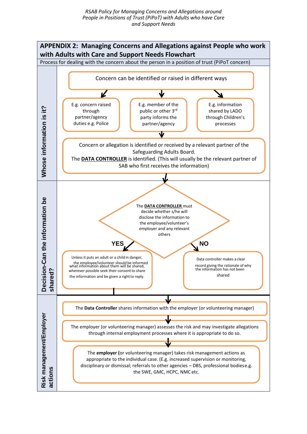<span id="page-12-0"></span>